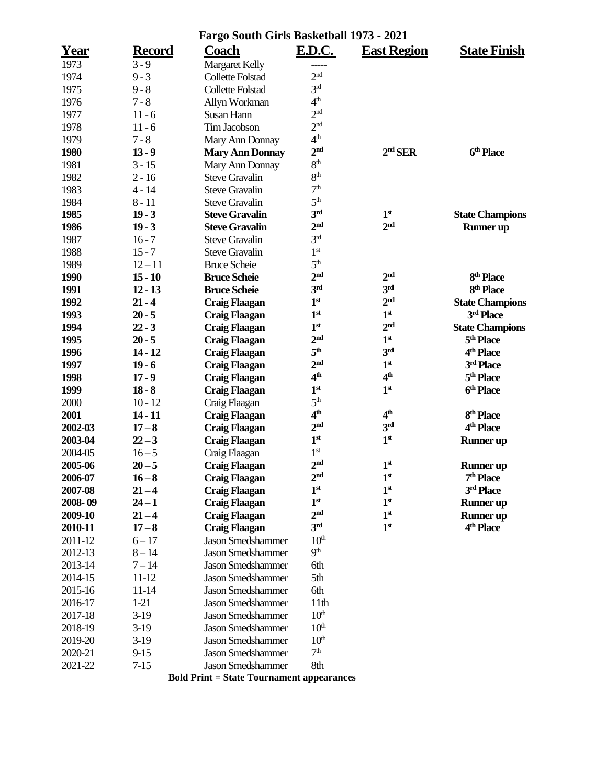| Fargo South Girls Basketball 1973 - 2021 |               |                                                  |                  |                    |                        |  |  |
|------------------------------------------|---------------|--------------------------------------------------|------------------|--------------------|------------------------|--|--|
| Year                                     | <b>Record</b> | Coach                                            | <b>E.D.C.</b>    | <b>East Region</b> | <b>State Finish</b>    |  |  |
| 1973                                     | $3 - 9$       | <b>Margaret Kelly</b>                            |                  |                    |                        |  |  |
| 1974                                     | $9 - 3$       | <b>Collette Folstad</b>                          | 2 <sup>nd</sup>  |                    |                        |  |  |
| 1975                                     | $9 - 8$       | <b>Collette Folstad</b>                          | 3 <sup>rd</sup>  |                    |                        |  |  |
| 1976                                     | $7 - 8$       | Allyn Workman                                    | 4 <sup>th</sup>  |                    |                        |  |  |
| 1977                                     | $11 - 6$      | Susan Hann                                       | 2 <sup>nd</sup>  |                    |                        |  |  |
| 1978                                     | $11 - 6$      | Tim Jacobson                                     | 2 <sup>nd</sup>  |                    |                        |  |  |
| 1979                                     | $7 - 8$       | Mary Ann Donnay                                  | 4 <sup>th</sup>  |                    |                        |  |  |
| 1980                                     | $13 - 9$      | <b>Mary Ann Donnay</b>                           | 2 <sup>nd</sup>  | $2nd$ SER          | 6 <sup>th</sup> Place  |  |  |
| 1981                                     | $3 - 15$      | Mary Ann Donnay                                  | 8 <sup>th</sup>  |                    |                        |  |  |
| 1982                                     | $2 - 16$      | <b>Steve Gravalin</b>                            | 8 <sup>th</sup>  |                    |                        |  |  |
| 1983                                     | $4 - 14$      | <b>Steve Gravalin</b>                            | 7 <sup>th</sup>  |                    |                        |  |  |
| 1984                                     | $8 - 11$      | <b>Steve Gravalin</b>                            | 5 <sup>th</sup>  |                    |                        |  |  |
| 1985                                     | $19 - 3$      | <b>Steve Gravalin</b>                            | 3 <sup>rd</sup>  | 1 <sup>st</sup>    | <b>State Champions</b> |  |  |
| 1986                                     | $19 - 3$      | <b>Steve Gravalin</b>                            | 2 <sup>nd</sup>  | 2 <sub>nd</sub>    | <b>Runner</b> up       |  |  |
| 1987                                     | $16 - 7$      | <b>Steve Gravalin</b>                            | 3 <sup>rd</sup>  |                    |                        |  |  |
| 1988                                     | $15 - 7$      | <b>Steve Gravalin</b>                            | 1 <sup>st</sup>  |                    |                        |  |  |
| 1989                                     | $12 - 11$     | <b>Bruce Scheie</b>                              | 5 <sup>th</sup>  |                    |                        |  |  |
| 1990                                     | $15 - 10$     | <b>Bruce Scheie</b>                              | 2 <sup>nd</sup>  | 2 <sub>nd</sub>    | 8 <sup>th</sup> Place  |  |  |
| 1991                                     | $12 - 13$     | <b>Bruce Scheie</b>                              | 3 <sup>rd</sup>  | 3 <sup>rd</sup>    | 8 <sup>th</sup> Place  |  |  |
| 1992                                     | $21 - 4$      | <b>Craig Flaagan</b>                             | 1 <sup>st</sup>  | 2 <sup>nd</sup>    | <b>State Champions</b> |  |  |
| 1993                                     | $20 - 5$      | <b>Craig Flaagan</b>                             | 1 <sup>st</sup>  | 1 <sup>st</sup>    | 3rd Place              |  |  |
| 1994                                     | $22 - 3$      | <b>Craig Flaagan</b>                             | 1 <sup>st</sup>  | 2 <sup>nd</sup>    | <b>State Champions</b> |  |  |
| 1995                                     | $20 - 5$      | <b>Craig Flaagan</b>                             | 2 <sup>nd</sup>  | 1 <sup>st</sup>    | 5 <sup>th</sup> Place  |  |  |
| 1996                                     | $14 - 12$     | <b>Craig Flaagan</b>                             | 5 <sup>th</sup>  | 3 <sup>rd</sup>    | 4 <sup>th</sup> Place  |  |  |
| 1997                                     | $19 - 6$      | <b>Craig Flaagan</b>                             | 2 <sup>nd</sup>  | 1 <sup>st</sup>    | 3rd Place              |  |  |
| 1998                                     | $17 - 9$      | Craig Flaagan                                    | 4 <sup>th</sup>  | 4 <sup>th</sup>    | 5 <sup>th</sup> Place  |  |  |
| 1999                                     | $18 - 8$      | <b>Craig Flaagan</b>                             | 1 <sup>st</sup>  | 1 <sup>st</sup>    | 6 <sup>th</sup> Place  |  |  |
| 2000                                     | $10 - 12$     | Craig Flaagan                                    | 5 <sup>th</sup>  |                    |                        |  |  |
| 2001                                     | $14 - 11$     | <b>Craig Flaagan</b>                             | 4 <sup>th</sup>  | 4 <sup>th</sup>    | 8 <sup>th</sup> Place  |  |  |
| 2002-03                                  | $17 - 8$      | <b>Craig Flaagan</b>                             | 2 <sup>nd</sup>  | 3 <sup>rd</sup>    | 4 <sup>th</sup> Place  |  |  |
| 2003-04                                  | $22 - 3$      | <b>Craig Flaagan</b>                             | 1 <sup>st</sup>  | 1 <sup>st</sup>    | <b>Runner</b> up       |  |  |
| 2004-05                                  | $16 - 5$      | Craig Flaagan                                    | 1 <sup>st</sup>  |                    |                        |  |  |
| 2005-06                                  | $20 - 5$      | <b>Craig Flaagan</b>                             | 2 <sub>nd</sub>  | 1 <sup>st</sup>    | <b>Runner</b> up       |  |  |
| 2006-07                                  | $16 - 8$      | <b>Craig Flaagan</b>                             | 2 <sup>nd</sup>  | 1 <sup>st</sup>    | 7 <sup>th</sup> Place  |  |  |
| 2007-08                                  | $21 - 4$      | <b>Craig Flaagan</b>                             | 1 <sup>st</sup>  | 1 <sup>st</sup>    | $3^{\rm rd}$ Place     |  |  |
| 2008-09                                  | $24 - 1$      | <b>Craig Flaagan</b>                             | 1 <sup>st</sup>  | 1 <sup>st</sup>    | <b>Runner</b> up       |  |  |
| 2009-10                                  | $21 - 4$      | <b>Craig Flaagan</b>                             | 2 <sup>nd</sup>  | 1 <sup>st</sup>    | <b>Runner</b> up       |  |  |
| 2010-11                                  | $17 - 8$      | <b>Craig Flaagan</b>                             | 3 <sup>rd</sup>  | 1 <sup>st</sup>    | 4 <sup>th</sup> Place  |  |  |
| 2011-12                                  | $6 - 17$      | <b>Jason Smedshammer</b>                         | 10 <sup>th</sup> |                    |                        |  |  |
| 2012-13                                  | $8 - 14$      | <b>Jason Smedshammer</b>                         | <b>9th</b>       |                    |                        |  |  |
| 2013-14                                  | $7 - 14$      | <b>Jason Smedshammer</b>                         | 6th              |                    |                        |  |  |
| 2014-15                                  | $11 - 12$     | <b>Jason Smedshammer</b>                         | 5th              |                    |                        |  |  |
| 2015-16                                  | $11 - 14$     | <b>Jason Smedshammer</b>                         | 6th              |                    |                        |  |  |
| 2016-17                                  | $1-21$        | <b>Jason Smedshammer</b>                         | 11 <sub>th</sub> |                    |                        |  |  |
| 2017-18                                  | $3-19$        | <b>Jason Smedshammer</b>                         | 10 <sup>th</sup> |                    |                        |  |  |
| 2018-19                                  | $3-19$        | <b>Jason Smedshammer</b>                         | 10 <sup>th</sup> |                    |                        |  |  |
| 2019-20                                  | $3-19$        | <b>Jason Smedshammer</b>                         | 10 <sup>th</sup> |                    |                        |  |  |
| 2020-21                                  | $9-15$        | <b>Jason Smedshammer</b>                         | 7 <sup>th</sup>  |                    |                        |  |  |
| 2021-22                                  | $7 - 15$      | <b>Jason Smedshammer</b>                         | 8th              |                    |                        |  |  |
|                                          |               | <b>Bold Print = State Tournament appearances</b> |                  |                    |                        |  |  |